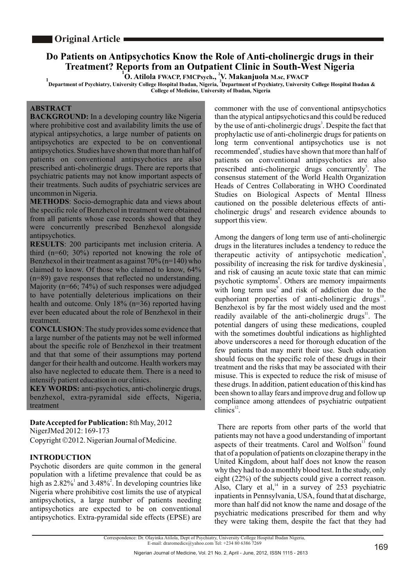# **Do Patients on Antipsychotics Know the Role of Anti-cholinergic drugs in their Treatment? Reports from an Outpatient Clinic in South-West Nigeria**

**<sup>1</sup> <sup>2</sup> O. Atilola FWACP, FMCPsych., V. Makanjuola M.sc, FWACP**

**1 <sup>2</sup> Department of Psychiatry, University College Hospital Ibadan, Nigeria, Department of Psychiatry, University College Hospital Ibadan & College of Medicine, University of Ibadan, Nigeria**

## **ABSTRACT**

**BACKGROUND:** In a developing country like Nigeria where prohibitive cost and availability limits the use of atypical antipsychotics, a large number of patients on antipsychotics are expected to be on conventional antipsychotics. Studies have shown that more than half of patients on conventional antipsychotics are also prescribed anti-cholinergic drugs. There are reports that psychiatric patients may not know important aspects of their treatments. Such audits of psychiatric services are uncommon in Nigeria.

**METHODS**: Socio-demographic data and views about the specific role of Benzhexol in treatment were obtained from all patients whose case records showed that they were concurrently prescribed Benzhexol alongside antipsychotics.

**RESULTS**: 200 participants met inclusion criteria. A third (n=60; 30%) reported not knowing the role of Benzhexol in their treatment as against  $70\%$  (n=140) who claimed to know. Of those who claimed to know, 64% (n=89) gave responses that reflected no understanding. Majority (n=66; 74%) of such responses were adjudged to have potentially deleterious implications on their health and outcome. Only 18% (n=36) reported having ever been educated about the role of Benzhexol in their treatment.

**CONCLUSION**: The study provides some evidence that a large number of the patients may not be well informed about the specific role of Benzhexol in their treatment and that that some of their assumptions may portend danger for their health and outcome. Health workers may also have neglected to educate them. There is a need to intensify patient education in our clinics.

**KEY WORDS:** anti-psychotics, anti-cholinergic drugs, benzhexol, extra-pyramidal side effects, Nigeria, treatment

## **Date Accepted forPublication:** 8th May, 2012

NigerJMed 2012: 169-173

Copyright ©2012. Nigerian Journal of Medicine.

## **INTRODUCTION**

Psychotic disorders are quite common in the general population with a lifetime prevalence that could be as high as  $2.82\%$ <sup>1</sup> and  $3.48\%$ <sup>2</sup>. In developing countries like Nigeria where prohibitive cost limits the use of atypical antipsychotics, a large number of patients needing antipsychotics are expected to be on conventional antipsychotics. Extra-pyramidal side effects (EPSE) are

commoner with the use of conventional antipsychotics than the atypical antipsychoticsand this could be reduced by the use of anti-cholinergic drugs<sup>3</sup>. Despite the fact that prophylactic use of anti-cholinergic drugs for patients on long term conventional antipsychotics use is not recommended<sup>4</sup>, studies have shown that more than half of patients on conventional antipsychotics are also prescribed anti-cholinergic drugs concurrently<sup>5</sup>. The consensus statement of the World Health Organization Heads of Centres Collaborating in WHO Coordinated Studies on Biological Aspects of Mental Illness cautioned on the possible deleterious effects of anticholinergic drugs $4$  and research evidence abounds to support this view.

Among the dangers of long term use of anti-cholinergic drugs in the literatures includes a tendency to reduce the therapeutic activity of antipsychotic medication<sup>6</sup>, possibility of increasing the risk for tardive dyskinesia<sup>7</sup>, and risk of causing an acute toxic state that can mimic psychotic symptoms<sup>8</sup>. Others are memory impairments with long term use<sup>9</sup> and risk of addiction due to the euphoriant properties of anti-cholinergic drugs<sup>10</sup>. Benzhexol is by far the most widely used and the most readily available of the anti-cholinergic drugs<sup>11</sup>. The potential dangers of using these medications, coupled with the sometimes doubtful indications as highlighted above underscores a need for thorough education of the few patients that may merit their use. Such education should focus on the specific role of these drugs in their treatment and the risks that may be associated with their misuse. This is expected to reduce the risk of misuse of these drugs. In addition, patient education of this kind has been shown to allay fears and improve drug and follow up compliance among attendees of psychiatric outpatient  $\tilde{\text{clinics}}^{12}$ 

There are reports from other parts of the world that patients may not have a good understanding of important aspects of their treatments. Carol and Wolfson<sup>13</sup> found that of a population of patients on clozapine therapy in the United Kingdom, about half does not know the reason why they had to do a monthly blood test. In the study, only eight (22%) of the subjects could give a correct reason. Also, Clary et al. $^{14}$  in a survey of 253 psychiatric inpatients in Pennsylvania, USA, found that at discharge, more than half did not know the name and dosage of the psychiatric medications prescribed for them and why they were taking them, despite the fact that they had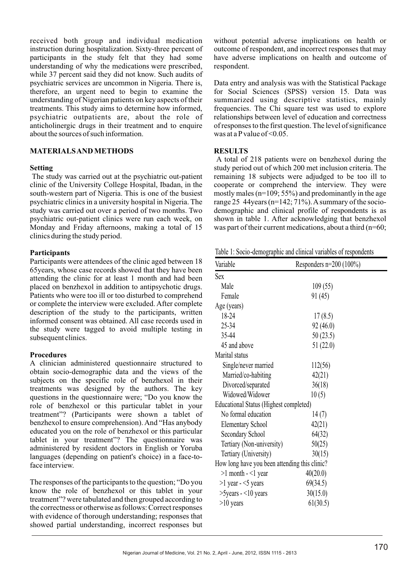received both group and individual medication instruction during hospitalization. Sixty-three percent of participants in the study felt that they had some understanding of why the medications were prescribed, while 37 percent said they did not know. Such audits of psychiatric services are uncommon in Nigeria. There is, therefore, an urgent need to begin to examine the understanding of Nigerian patients on key aspects of their treatments. This study aims to determine how informed, psychiatric outpatients are, about the role of anticholinergic drugs in their treatment and to enquire about the sources of such information.

### **MATERIALS AND METHODS**

#### **Setting**

The study was carried out at the psychiatric out-patient clinic of the University College Hospital, Ibadan, in the south-western part of Nigeria. This is one of the busiest psychiatric clinics in a university hospital in Nigeria. The study was carried out over a period of two months. Two psychiatric out-patient clinics were run each week, on Monday and Friday afternoons, making a total of 15 clinics during the study period.

#### **Participants**

Participants were attendees of the clinic aged between 18 65years, whose case records showed that they have been attending the clinic for at least 1 month and had been placed on benzhexol in addition to antipsychotic drugs. Patients who were too ill or too disturbed to comprehend or complete the interview were excluded. After complete description of the study to the participants, written informed consent was obtained. All case records used in the study were tagged to avoid multiple testing in subsequent clinics.

### **Procedures**

A clinician administered questionnaire structured to obtain socio-demographic data and the views of the subjects on the specific role of benzhexol in their treatments was designed by the authors. The key questions in the questionnaire were; "Do you know the role of benzhexol or this particular tablet in your treatment"? (Participants were shown a tablet of benzhexol to ensure comprehension). And "Has anybody educated you on the role of benzhexol or this particular tablet in your treatment"? The questionnaire was administered by resident doctors in English or Yoruba languages (depending on patient's choice) in a face-toface interview.

The responses of the participants to the question; "Do you know the role of benzhexol or this tablet in your treatment"? were tabulated and then grouped according to the correctness or otherwise as follows: Correct responses with evidence of thorough understanding; responses that showed partial understanding, incorrect responses but

without potential adverse implications on health or outcome of respondent, and incorrect responses that may have adverse implications on health and outcome of respondent.

Data entry and analysis was with the Statistical Package for Social Sciences (SPSS) version 15. Data was summarized using descriptive statistics, mainly frequencies. The Chi square test was used to explore relationships between level of education and correctness of responses to the first question. The level of significance was at a P value of  $\leq 0.05$ .

#### **RESULTS**

A total of 218 patients were on benzhexol during the study period out of which 200 met inclusion criteria. The remaining 18 subjects were adjudged to be too ill to cooperate or comprehend the interview. They were mostly males (n=109; 55%) and predominantly in the age range 25 44years (n=142;  $71\%$ ). A summary of the sociodemographic and clinical profile of respondents is as shown in table 1. After acknowledging that benzhexol was part of their current medications, about a third (n=60;

Table 1: Socio-demographic and clinical variables of respondents

| Variable                                      | Responders $n=200$ (100%) |  |  |
|-----------------------------------------------|---------------------------|--|--|
| Sex                                           |                           |  |  |
| Male                                          | 109(55)                   |  |  |
| Female                                        | 91 (45)                   |  |  |
| Age (years)                                   |                           |  |  |
| 18-24                                         | 17(8.5)                   |  |  |
| 25-34                                         | 92(46.0)                  |  |  |
| 35-44                                         | 50(23.5)                  |  |  |
| 45 and above                                  | 51 (22.0)                 |  |  |
| Marital status                                |                           |  |  |
| Single/never married                          | 112(56)                   |  |  |
| Married/co-habiting                           | 42(21)                    |  |  |
| Divorced/separated                            | 36(18)                    |  |  |
| Widowed/Widower                               | 10(5)                     |  |  |
| Educational Status (Highest completed)        |                           |  |  |
| No formal education                           | 14(7)                     |  |  |
| <b>Elementary School</b>                      | 42(21)                    |  |  |
| Secondary School                              | 64(32)                    |  |  |
| Tertiary (Non-university)                     | 50(25)                    |  |  |
| Tertiary (University)                         | 30(15)                    |  |  |
| How long have you been attending this clinic? |                           |  |  |
| $>1$ month $-<1$ year                         | 40(20.0)                  |  |  |
| $>1$ year - $<$ 5 years                       | 69(34.5)                  |  |  |
| $>5$ years - $<$ 10 years                     | 30(15.0)                  |  |  |
| $>10$ years                                   | 61(30.5)                  |  |  |
|                                               |                           |  |  |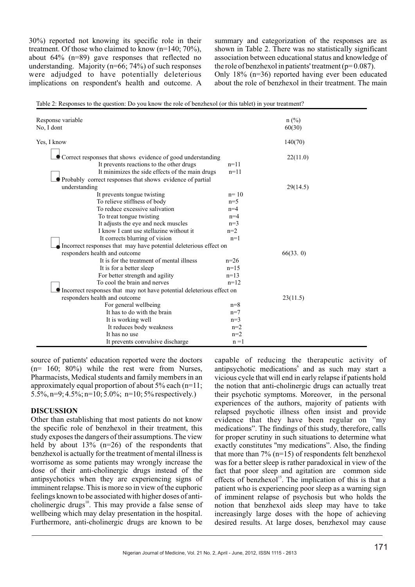30%) reported not knowing its specific role in their treatment. Of those who claimed to know (n=140; 70%), about 64% (n=89) gave responses that reflected no understanding. Majority ( $n=66$ ; 74%) of such responses were adjudged to have potentially deleterious implications on respondent's health and outcome. A

summary and categorization of the responses are as shown in Table 2. There was no statistically significant association between educational status and knowledge of the role of benzhexol in patients' treatment ( $p= 0.087$ ). Only 18% (n=36) reported having ever been educated about the role of benzhexol in their treatment. The main

| Response variable |                                                                       |         | $n$ (%)  |  |
|-------------------|-----------------------------------------------------------------------|---------|----------|--|
| No, I dont        |                                                                       |         | 60(30)   |  |
| Yes, I know       |                                                                       |         | 140(70)  |  |
|                   | Correct responses that shows evidence of good understanding           |         | 22(11.0) |  |
|                   | It prevents reactions to the other drugs                              | $n=11$  |          |  |
|                   | It minimizes the side effects of the main drugs                       | $n=11$  |          |  |
|                   | Probably correct responses that shows evidence of partial             |         |          |  |
| understanding     |                                                                       |         | 29(14.5) |  |
|                   | It prevents tongue twisting                                           | $n=10$  |          |  |
|                   | To relieve stiffness of body                                          | $n=5$   |          |  |
|                   | To reduce excessive salivation                                        | $n=4$   |          |  |
|                   | To treat tongue twisting                                              | $n=4$   |          |  |
|                   | It adjusts the eye and neck muscles                                   | $n=3$   |          |  |
|                   | I know I cant use stellazine without it                               | $n=2$   |          |  |
|                   | It corrects blurring of vision                                        | $n=1$   |          |  |
|                   | Incorrect responses that may have potential deleterious effect on     |         |          |  |
|                   | responders health and outcome                                         |         | 66(33.0) |  |
|                   | It is for the treatment of mental illness                             | $n=26$  |          |  |
|                   | It is for a better sleep                                              | $n=15$  |          |  |
|                   | For better strength and agility                                       | $n=13$  |          |  |
|                   | To cool the brain and nerves                                          | $n=12$  |          |  |
|                   | Incorrect responses that may not have potential deleterious effect on |         |          |  |
|                   | responders health and outcome                                         |         | 23(11.5) |  |
|                   | For general wellbeing                                                 | $n=8$   |          |  |
|                   | It has to do with the brain                                           | $n=7$   |          |  |
|                   | It is working well                                                    | $n=3$   |          |  |
|                   | It reduces body weakness                                              | $n=2$   |          |  |
|                   | It has no use                                                         | $n=2$   |          |  |
|                   | It prevents convulsive discharge                                      | $n = 1$ |          |  |

Table 2: Responses to the question: Do you know the role of benzhexol (or this tablet) in your treatment?

source of patients' education reported were the doctors (n= 160; 80%) while the rest were from Nurses, Pharmacists, Medical students and family members in an approximately equal proportion of about  $5\%$  each (n=11;  $5.5\%$ , n=9;  $4.5\%$ ; n=10;  $5.0\%$ ; n=10;  $5\%$  respectively.)

### **DISCUSSION**

Other than establishing that most patients do not know the specific role of benzhexol in their treatment, this study exposes the dangers of their assumptions. The view held by about  $13\%$  (n=26) of the respondents that benzhexol is actually for the treatment of mental illness is worrisome as some patients may wrongly increase the dose of their anti-cholinergic drugs instead of the antipsychotics when they are experiencing signs of imminent relapse. This is more so in view of the euphoric feelings known to be associated with higher doses of anticholinergic drugs<sup>10</sup>. This may provide a false sense of wellbeing which may delay presentation in the hospital. Furthermore, anti-cholinergic drugs are known to be

capable of reducing the therapeutic activity of antipsychotic medications<sup>6</sup> and as such may start a vicious cycle that will end in early relapse if patients hold the notion that anti-cholinergic drugs can actually treat their psychotic symptoms. Moreover, in the personal experiences of the authors, majority of patients with relapsed psychotic illness often insist and provide evidence that they have been regular on "my medications". The findings of this study, therefore, calls for proper scrutiny in such situations to determine what exactly constitutes ''my medications". Also, the finding that more than 7% (n=15) of respondents felt benzhexol was for a better sleep is rather paradoxical in view of the fact that poor sleep and agitation are common side effects of benzhexol<sup>15</sup>. The implication of this is that a patient who is experiencing poor sleep as a warning sign of imminent relapse of psychosis but who holds the notion that benzhexol aids sleep may have to take increasingly large doses with the hope of achieving desired results. At large doses, benzhexol may cause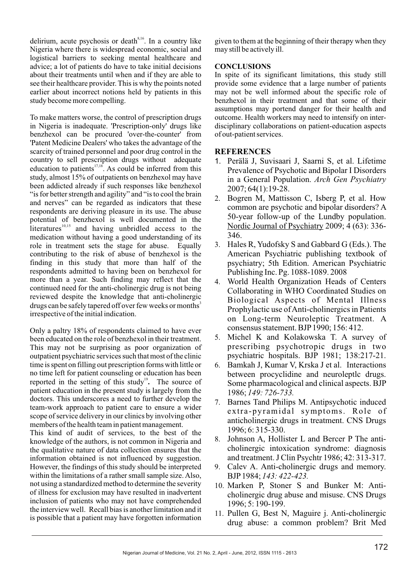delirium, acute psychosis or death $s<sub>16</sub>$ . In a country like Nigeria where there is widespread economic, social and logistical barriers to seeking mental healthcare and advice; a lot of patients do have to take initial decisions about their treatments until when and if they are able to see their healthcare provider. This is why the points noted earlier about incorrect notions held by patients in this study become more compelling.

To make matters worse, the control of prescription drugs in Nigeria is inadequate. 'Prescription-only' drugs like benzhexol can be procured 'over-the-counter' from 'Patent Medicine Dealers' who takes the advantage of the scarcity of trained personnel and poor drug control in the country to sell prescription drugs without adequate education to patients  $17,18$ . As could be inferred from this study, almost 15% of outpatients on benzhexol may have been addicted already if such responses like benzhexol "is for better strength and agility" and "is to cool the brain and nerves" can be regarded as indicators that these respondents are deriving pleasure in its use. The abuse potential of benzhexol is well documented in the literatures $10,15$  and having unbridled access to the medication without having a good understanding of its role in treatment sets the stage for abuse. Equally contributing to the risk of abuse of benzhexol is the finding in this study that more than half of the respondents admitted to having been on benzhexol for more than a year. Such finding may reflect that the continued need for the anti-cholinergic drug is not being reviewed despite the knowledge that anti-cholinergic drugs can be safely tapered off over few weeks or months<sup>3</sup> irrespective of the initial indication.

Only a paltry 18% of respondents claimed to have ever been educated on the role of benzhexol in their treatment. This may not be surprising as poor organization of outpatient psychiatric services such that most of the clinic time is spent on filling out prescription forms with little or no time left for patient counseling or education has been reported in the setting of this study<sup>19</sup>. The source of patient education in the present study is largely from the doctors. This underscores a need to further develop the team-work approach to patient care to ensure a wider scope of service delivery in our clinics by involving other members of the health team in patient management.

This kind of audit of services, to the best of the knowledge of the authors, is not common in Nigeria and the qualitative nature of data collection ensures that the information obtained is not influenced by suggestion. However, the findings of this study should be interpreted within the limitations of a rather small sample size. Also, not using a standardized method to determine the severity of illness for exclusion may have resulted in inadvertent inclusion of patients who may not have comprehended the interview well. Recall bias is another limitation and it is possible that a patient may have forgotten information given to them at the beginning of their therapy when they may still be actively ill.

## **CONCLUSIONS**

In spite of its significant limitations, this study still provide some evidence that a large number of patients may not be well informed about the specific role of benzhexol in their treatment and that some of their assumptions may portend danger for their health and outcome. Health workers may need to intensify on interdisciplinary collaborations on patient-education aspects of out-patient services.

## **REFERENCES**

- 1. Perälä J, Suvisaari J, Saarni S, et al. Lifetime Prevalence of Psychotic and Bipolar I Disorders in a General Population. *Arch Gen Psychiatry* 2007; 64(1):19-28.
- 2. Bogren M, Mattisson C, Isberg P, et al. How common are psychotic and bipolar disorders? A 50-year follow-up of the Lundby population. Nordic Journal of Psychiatry 2009; 4 (63): 336- 346.
- 3. Hales R, Yudofsky S and Gabbard G (Eds.). The American Psychiatric publishing textbook of psychiatry; 5th Edition. American Psychiatric Publishing Inc. Pg. 1088-1089. 2008
- 4. World Health Organization Heads of Centers Collaborating in WHO Coordinated Studies on Biological Aspects of Mental Illness Prophylactic use of Anti-cholinergics in Patients on Long-term Neuroleptic Treatment. A consensus statement. BJP1990; 156: 412.
- 5. Michel K and Kolakowska T. A survey of prescribing psychotropic drugs in two psychiatric hospitals. BJP 1981; 138:217-21.
- 6. Bamkah J, Kumar V, Krska J et al. Interactions between procyclidine and neuroleptlc drugs. Some pharmacological and clinical aspects. BJP 1986; *149: 726-733.*
- 7. Barnes Tand Philips M. Antipsychotic induced extra-pyramidal symptoms. Role of anticholinergic drugs in treatment. CNS Drugs 1996; 6: 315-330.
- 8. Johnson A, Hollister L and Bercer P The anticholinergic intoxication syndrome: diagnosis and treatment. J Clin Psychtr 1986; 42: 313-317.
- 9. Calev A. Anti-cholinergic drugs and memory. BJP1984; *143: 422-423.*
- 10. Marken P, Stoner S and Bunker M: Anticholinergic drug abuse and misuse. CNS Drugs 1996; 5: 190-199.
- 11. Pullen G, Best N, Maguire j. Anti-cholinergic drug abuse: a common problem? Brit Med